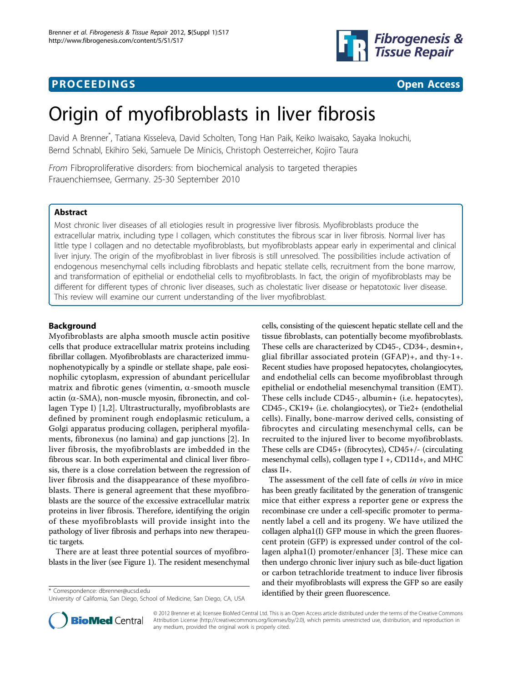## **PROCEEDINGS CONSIDERING S** Open Access **CONSIDERING**



# Origin of myofibroblasts in liver fibrosis

David A Brenner\* , Tatiana Kisseleva, David Scholten, Tong Han Paik, Keiko Iwaisako, Sayaka Inokuchi, Bernd Schnabl, Ekihiro Seki, Samuele De Minicis, Christoph Oesterreicher, Kojiro Taura

From Fibroproliferative disorders: from biochemical analysis to targeted therapies Frauenchiemsee, Germany. 25-30 September 2010

### Abstract

Most chronic liver diseases of all etiologies result in progressive liver fibrosis. Myofibroblasts produce the extracellular matrix, including type I collagen, which constitutes the fibrous scar in liver fibrosis. Normal liver has little type I collagen and no detectable myofibroblasts, but myofibroblasts appear early in experimental and clinical liver injury. The origin of the myofibroblast in liver fibrosis is still unresolved. The possibilities include activation of endogenous mesenchymal cells including fibroblasts and hepatic stellate cells, recruitment from the bone marrow, and transformation of epithelial or endothelial cells to myofibroblasts. In fact, the origin of myofibroblasts may be different for different types of chronic liver diseases, such as cholestatic liver disease or hepatotoxic liver disease. This review will examine our current understanding of the liver myofibroblast.

#### Background

Myofibroblasts are alpha smooth muscle actin positive cells that produce extracellular matrix proteins including fibrillar collagen. Myofibroblasts are characterized immunophenotypically by a spindle or stellate shape, pale eosinophilic cytoplasm, expression of abundant pericellular matrix and fibrotic genes (vimentin,  $\alpha$ -smooth muscle actin ( $\alpha$ -SMA), non-muscle myosin, fibronectin, and collagen Type I) [\[1](#page-2-0),[2\]](#page-2-0). Ultrastructurally, myofibroblasts are defined by prominent rough endoplasmic reticulum, a Golgi apparatus producing collagen, peripheral myofilaments, fibronexus (no lamina) and gap junctions [[2](#page-2-0)]. In liver fibrosis, the myofibroblasts are imbedded in the fibrous scar. In both experimental and clinical liver fibrosis, there is a close correlation between the regression of liver fibrosis and the disappearance of these myofibroblasts. There is general agreement that these myofibroblasts are the source of the excessive extracellular matrix proteins in liver fibrosis. Therefore, identifying the origin of these myofibroblasts will provide insight into the pathology of liver fibrosis and perhaps into new therapeutic targets.

There are at least three potential sources of myofibroblasts in the liver (see Figure [1](#page-1-0)). The resident mesenchymal

cells, consisting of the quiescent hepatic stellate cell and the tissue fibroblasts, can potentially become myofibroblasts. These cells are characterized by CD45-, CD34-, desmin+, glial fibrillar associated protein (GFAP)+, and thy-1+. Recent studies have proposed hepatocytes, cholangiocytes, and endothelial cells can become myofibroblast through epithelial or endothelial mesenchymal transition (EMT). These cells include CD45-, albumin+ (i.e. hepatocytes), CD45-, CK19+ (i.e. cholangiocytes), or Tie2+ (endothelial cells). Finally, bone-marrow derived cells, consisting of fibrocytes and circulating mesenchymal cells, can be recruited to the injured liver to become myofibroblasts. These cells are CD45+ (fibrocytes), CD45+/- (circulating mesenchymal cells), collagen type I +, CD11d+, and MHC class II+.

The assessment of the cell fate of cells in vivo in mice has been greatly facilitated by the generation of transgenic mice that either express a reporter gene or express the recombinase cre under a cell-specific promoter to permanently label a cell and its progeny. We have utilized the collagen alpha1(I) GFP mouse in which the green fluorescent protein (GFP) is expressed under control of the collagen alpha1(I) promoter/enhancer [[3](#page-2-0)]. These mice can then undergo chronic liver injury such as bile-duct ligation or carbon tetrachloride treatment to induce liver fibrosis and their myofibroblasts will express the GFP so are easily \* Correspondence: [dbrenner@ucsd.edu](mailto:dbrenner@ucsd.edu) dentified by their green fluorescence.



© 2012 Brenner et al; licensee BioMed Central Ltd. This is an Open Access article distributed under the terms of the Creative Commons Attribution License [\(http://creativecommons.org/licenses/by/2.0](http://creativecommons.org/licenses/by/2.0)), which permits unrestricted use, distribution, and reproduction in any medium, provided the original work is properly cited.

University of California, San Diego, School of Medicine, San Diego, CA, USA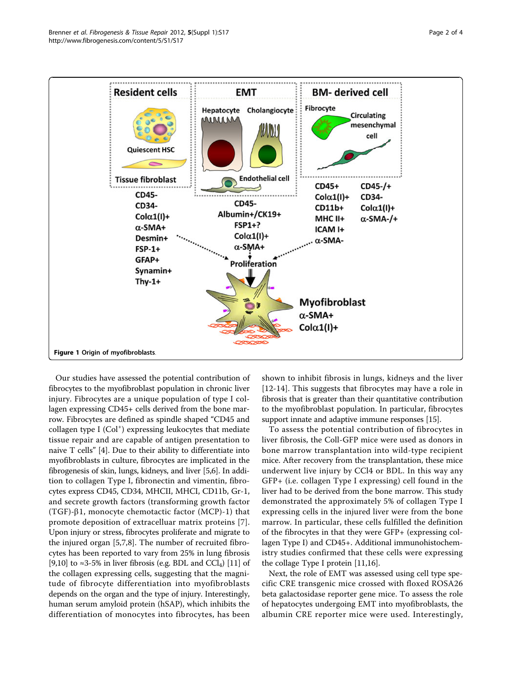<span id="page-1-0"></span>

Our studies have assessed the potential contribution of fibrocytes to the myofibroblast population in chronic liver injury. Fibrocytes are a unique population of type I collagen expressing CD45+ cells derived from the bone marrow. Fibrocytes are defined as spindle shaped "CD45 and collagen type I (Col<sup>+</sup>) expressing leukocytes that mediate tissue repair and are capable of antigen presentation to naive T cells" [[4](#page-3-0)]. Due to their ability to differentiate into myofibroblasts in culture, fibrocytes are implicated in the fibrogenesis of skin, lungs, kidneys, and liver [\[5,6\]](#page-3-0). In addition to collagen Type I, fibronectin and vimentin, fibrocytes express CD45, CD34, MHCII, MHCI, CD11b, Gr-1, and secrete growth factors (transforming growth factor (TGF)- $\beta$ 1, monocyte chemotactic factor (MCP)-1) that promote deposition of extracelluar matrix proteins [[7](#page-3-0)]. Upon injury or stress, fibrocytes proliferate and migrate to the injured organ [\[5](#page-3-0),[7](#page-3-0),[8\]](#page-3-0). The number of recruited fibrocytes has been reported to vary from 25% in lung fibrosis [[9,10](#page-3-0)] to ≈3-5% in liver fibrosis (e.g. BDL and CCl<sub>4</sub>) [\[11\]](#page-3-0) of the collagen expressing cells, suggesting that the magnitude of fibrocyte differentiation into myofibroblasts depends on the organ and the type of injury. Interestingly, human serum amyloid protein (hSAP), which inhibits the differentiation of monocytes into fibrocytes, has been

shown to inhibit fibrosis in lungs, kidneys and the liver [[12-14\]](#page-3-0). This suggests that fibrocytes may have a role in fibrosis that is greater than their quantitative contribution to the myofibroblast population. In particular, fibrocytes support innate and adaptive immune responses [[15](#page-3-0)].

To assess the potential contribution of fibrocytes in liver fibrosis, the Coll-GFP mice were used as donors in bone marrow transplantation into wild-type recipient mice. After recovery from the transplantation, these mice underwent live injury by CCl4 or BDL. In this way any GFP+ (i.e. collagen Type I expressing) cell found in the liver had to be derived from the bone marrow. This study demonstrated the approximately 5% of collagen Type I expressing cells in the injured liver were from the bone marrow. In particular, these cells fulfilled the definition of the fibrocytes in that they were GFP+ (expressing collagen Type I) and CD45+. Additional immunohistochemistry studies confirmed that these cells were expressing the collage Type I protein [\[11,16](#page-3-0)].

Next, the role of EMT was assessed using cell type specific CRE transgenic mice crossed with floxed ROSA26 beta galactosidase reporter gene mice. To assess the role of hepatocytes undergoing EMT into myofibroblasts, the albumin CRE reporter mice were used. Interestingly,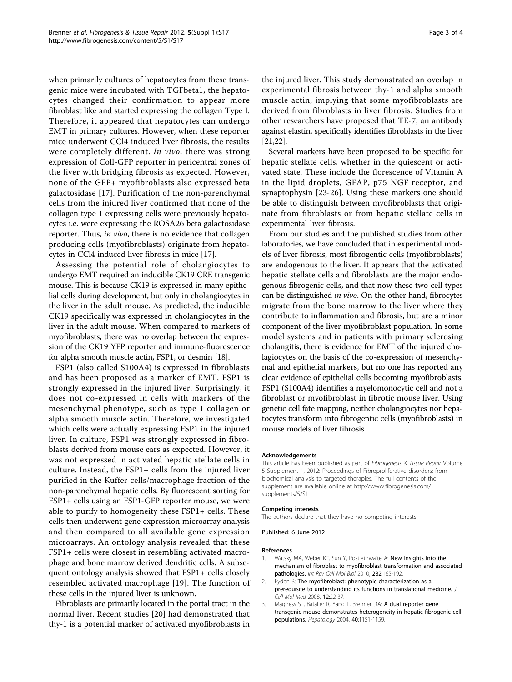<span id="page-2-0"></span>when primarily cultures of hepatocytes from these transgenic mice were incubated with TGFbeta1, the hepatocytes changed their confirmation to appear more fibroblast like and started expressing the collagen Type I. Therefore, it appeared that hepatocytes can undergo EMT in primary cultures. However, when these reporter mice underwent CCl4 induced liver fibrosis, the results were completely different. In vivo, there was strong expression of Coll-GFP reporter in pericentral zones of the liver with bridging fibrosis as expected. However, none of the GFP+ myofibroblasts also expressed beta galactosidase [[17](#page-3-0)]. Purification of the non-parenchymal cells from the injured liver confirmed that none of the collagen type 1 expressing cells were previously hepatocytes i.e. were expressing the ROSA26 beta galactosidase reporter. Thus, in vivo, there is no evidence that collagen producing cells (myofibroblasts) originate from hepatocytes in CCl4 induced liver fibrosis in mice [[17\]](#page-3-0).

Assessing the potential role of cholangiocytes to undergo EMT required an inducible CK19 CRE transgenic mouse. This is because CK19 is expressed in many epithelial cells during development, but only in cholangiocytes in the liver in the adult mouse. As predicted, the inducible CK19 specifically was expressed in cholangiocytes in the liver in the adult mouse. When compared to markers of myofibroblasts, there was no overlap between the expression of the CK19 YFP reporter and immune-fluorescence for alpha smooth muscle actin, FSP1, or desmin [[18](#page-3-0)].

FSP1 (also called S100A4) is expressed in fibroblasts and has been proposed as a marker of EMT. FSP1 is strongly expressed in the injured liver. Surprisingly, it does not co-expressed in cells with markers of the mesenchymal phenotype, such as type 1 collagen or alpha smooth muscle actin. Therefore, we investigated which cells were actually expressing FSP1 in the injured liver. In culture, FSP1 was strongly expressed in fibroblasts derived from mouse ears as expected. However, it was not expressed in activated hepatic stellate cells in culture. Instead, the FSP1+ cells from the injured liver purified in the Kuffer cells/macrophage fraction of the non-parenchymal hepatic cells. By fluorescent sorting for FSP1+ cells using an FSP1-GFP reporter mouse, we were able to purify to homogeneity these FSP1+ cells. These cells then underwent gene expression microarray analysis and then compared to all available gene expression microarrays. An ontology analysis revealed that these FSP1+ cells were closest in resembling activated macrophage and bone marrow derived dendritic cells. A subsequent ontology analysis showed that FSP1+ cells closely resembled activated macrophage [[19](#page-3-0)]. The function of these cells in the injured liver is unknown.

Fibroblasts are primarily located in the portal tract in the normal liver. Recent studies [[20\]](#page-3-0) had demonstrated that thy-1 is a potential marker of activated myofibroblasts in the injured liver. This study demonstrated an overlap in experimental fibrosis between thy-1 and alpha smooth muscle actin, implying that some myofibroblasts are derived from fibroblasts in liver fibrosis. Studies from other researchers have proposed that TE-7, an antibody against elastin, specifically identifies fibroblasts in the liver [[21,22\]](#page-3-0).

Several markers have been proposed to be specific for hepatic stellate cells, whether in the quiescent or activated state. These include the florescence of Vitamin A in the lipid droplets, GFAP, p75 NGF receptor, and synaptophysin [[23-26](#page-3-0)]. Using these markers one should be able to distinguish between myofibroblasts that originate from fibroblasts or from hepatic stellate cells in experimental liver fibrosis.

From our studies and the published studies from other laboratories, we have concluded that in experimental models of liver fibrosis, most fibrogentic cells (myofibroblasts) are endogenous to the liver. It appears that the activated hepatic stellate cells and fibroblasts are the major endogenous fibrogenic cells, and that now these two cell types can be distinguished in vivo. On the other hand, fibrocytes migrate from the bone marrow to the liver where they contribute to inflammation and fibrosis, but are a minor component of the liver myofibroblast population. In some model systems and in patients with primary sclerosing cholangitis, there is evidence for EMT of the injured cholagiocytes on the basis of the co-expression of mesenchymal and epithelial markers, but no one has reported any clear evidence of epithelial cells becoming myofibroblasts. FSP1 (S100A4) identifies a myelomonocytic cell and not a fibroblast or myofibroblast in fibrotic mouse liver. Using genetic cell fate mapping, neither cholangiocytes nor hepatocytes transform into fibrogentic cells (myofibroblasts) in mouse models of liver fibrosis.

#### Acknowledgements

This article has been published as part of Fibrogenesis & Tissue Repair Volume 5 Supplement 1, 2012: Proceedings of Fibroproliferative disorders: from biochemical analysis to targeted therapies. The full contents of the supplement are available online at [http://www.fibrogenesis.com/](http://www.fibrogenesis.com/supplements/5/S1) [supplements/5/S1.](http://www.fibrogenesis.com/supplements/5/S1)

#### Competing interests

The authors declare that they have no competing interests.

Published: 6 June 2012

#### References

- Watsky MA, Weber KT, Sun Y, Postlethwaite A: New insights into the mechanism of fibroblast to myofibroblast transformation and associated pathologies. Int Rev Cell Mol Biol 2010, 282:165-192.
- 2. Eyden B: The myofibroblast: phenotypic characterization as a prerequisite to understanding its functions in translational medicine. J Cell Mol Med 2008, 12:22-37.
- 3. Magness ST, Bataller R, Yang L, Brenner DA: A dual reporter gene transgenic mouse demonstrates heterogeneity in hepatic fibrogenic cell populations. Hepatology 2004, 40:1151-1159.